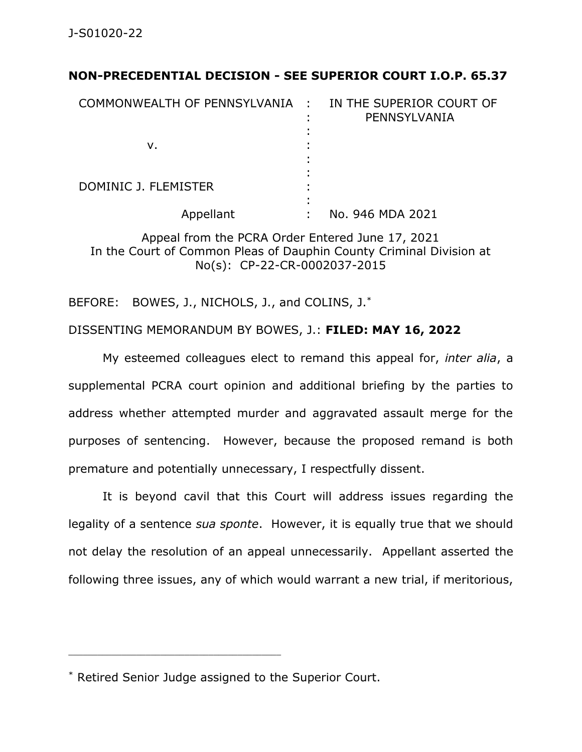## **NON-PRECEDENTIAL DECISION - SEE SUPERIOR COURT I.O.P. 65.37**

| COMMONWEALTH OF PENNSYLVANIA : | IN THE SUPERIOR COURT OF<br>PENNSYLVANIA |
|--------------------------------|------------------------------------------|
| v.                             |                                          |
| DOMINIC J. FLEMISTER           |                                          |
| Appellant                      | No. 946 MDA 2021                         |

Appeal from the PCRA Order Entered June 17, 2021 In the Court of Common Pleas of Dauphin County Criminal Division at No(s): CP-22-CR-0002037-2015

BEFORE: BOWES, J., NICHOLS, J., and COLINS, J.\*

## DISSENTING MEMORANDUM BY BOWES, J.: **FILED: MAY 16, 2022**

My esteemed colleagues elect to remand this appeal for, *inter alia*, a supplemental PCRA court opinion and additional briefing by the parties to address whether attempted murder and aggravated assault merge for the purposes of sentencing. However, because the proposed remand is both premature and potentially unnecessary, I respectfully dissent.

It is beyond cavil that this Court will address issues regarding the legality of a sentence *sua sponte*. However, it is equally true that we should not delay the resolution of an appeal unnecessarily. Appellant asserted the following three issues, any of which would warrant a new trial, if meritorious,

\_\_\_\_\_\_\_\_\_\_\_\_\_\_\_\_\_\_\_\_\_\_\_\_\_\_\_\_\_\_\_\_\_\_\_\_\_\_\_\_\_\_\_\_

<sup>\*</sup> Retired Senior Judge assigned to the Superior Court.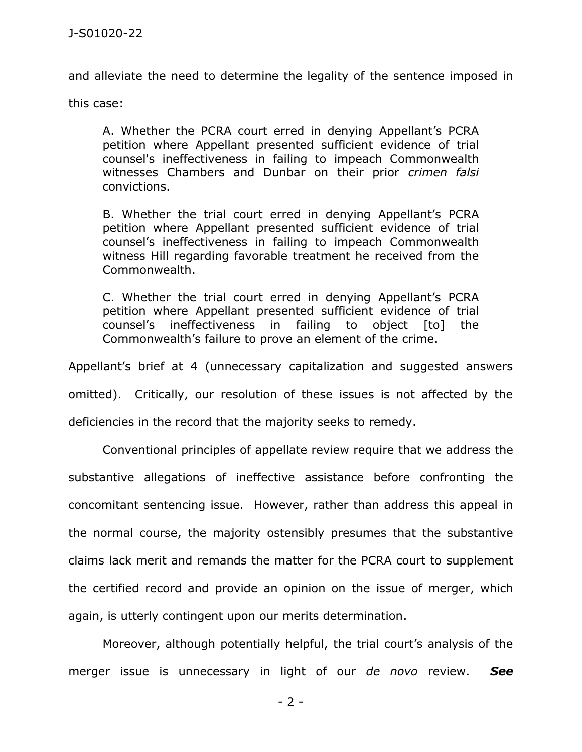and alleviate the need to determine the legality of the sentence imposed in

this case:

A. Whether the PCRA court erred in denying Appellant's PCRA petition where Appellant presented sufficient evidence of trial counsel's ineffectiveness in failing to impeach Commonwealth witnesses Chambers and Dunbar on their prior *crimen falsi* convictions.

B. Whether the trial court erred in denying Appellant's PCRA petition where Appellant presented sufficient evidence of trial counsel's ineffectiveness in failing to impeach Commonwealth witness Hill regarding favorable treatment he received from the Commonwealth.

C. Whether the trial court erred in denying Appellant's PCRA petition where Appellant presented sufficient evidence of trial counsel's ineffectiveness in failing to object [to] the Commonwealth's failure to prove an element of the crime.

Appellant's brief at 4 (unnecessary capitalization and suggested answers omitted). Critically, our resolution of these issues is not affected by the deficiencies in the record that the majority seeks to remedy.

Conventional principles of appellate review require that we address the substantive allegations of ineffective assistance before confronting the concomitant sentencing issue. However, rather than address this appeal in the normal course, the majority ostensibly presumes that the substantive claims lack merit and remands the matter for the PCRA court to supplement the certified record and provide an opinion on the issue of merger, which again, is utterly contingent upon our merits determination.

Moreover, although potentially helpful, the trial court's analysis of the merger issue is unnecessary in light of our *de novo* review. *See* 

- 2 -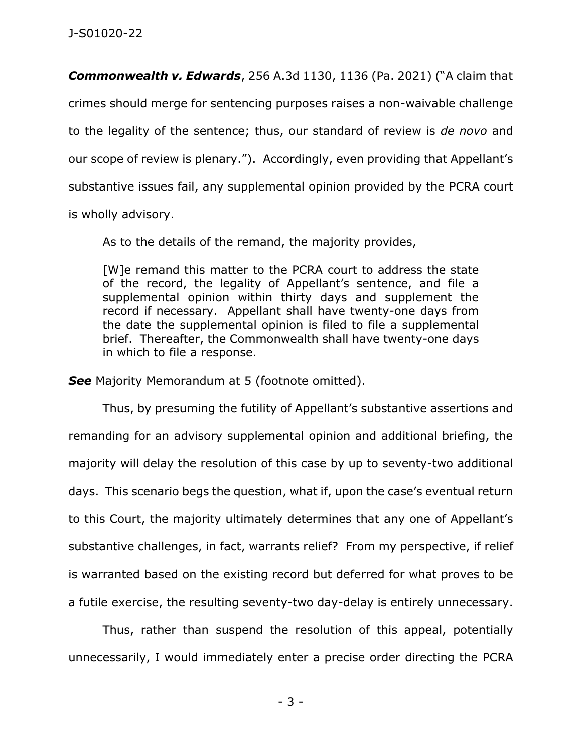*Commonwealth v. Edwards*, 256 A.3d 1130, 1136 (Pa. 2021) ("A claim that crimes should merge for sentencing purposes raises a non-waivable challenge to the legality of the sentence; thus, our standard of review is *de novo* and our scope of review is plenary."). Accordingly, even providing that Appellant's substantive issues fail, any supplemental opinion provided by the PCRA court is wholly advisory.

As to the details of the remand, the majority provides,

[W]e remand this matter to the PCRA court to address the state of the record, the legality of Appellant's sentence, and file a supplemental opinion within thirty days and supplement the record if necessary. Appellant shall have twenty-one days from the date the supplemental opinion is filed to file a supplemental brief. Thereafter, the Commonwealth shall have twenty-one days in which to file a response.

**See** Majority Memorandum at 5 (footnote omitted).

Thus, by presuming the futility of Appellant's substantive assertions and remanding for an advisory supplemental opinion and additional briefing, the majority will delay the resolution of this case by up to seventy-two additional days. This scenario begs the question, what if, upon the case's eventual return to this Court, the majority ultimately determines that any one of Appellant's substantive challenges, in fact, warrants relief? From my perspective, if relief is warranted based on the existing record but deferred for what proves to be a futile exercise, the resulting seventy-two day-delay is entirely unnecessary.

Thus, rather than suspend the resolution of this appeal, potentially unnecessarily, I would immediately enter a precise order directing the PCRA